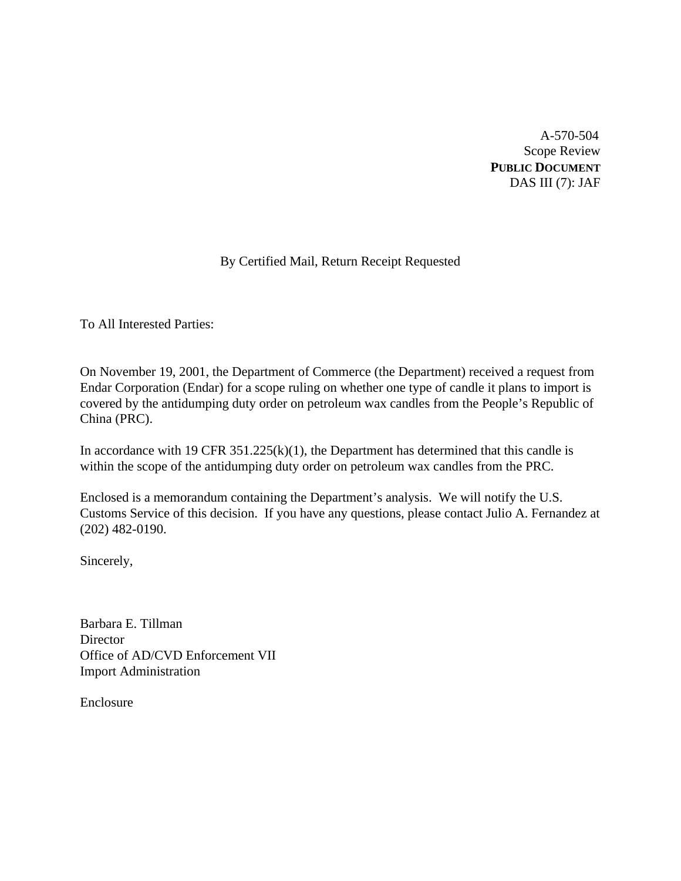A-570-504 Scope Review **PUBLIC DOCUMENT** DAS III (7): JAF

# By Certified Mail, Return Receipt Requested

To All Interested Parties:

On November 19, 2001, the Department of Commerce (the Department) received a request from Endar Corporation (Endar) for a scope ruling on whether one type of candle it plans to import is covered by the antidumping duty order on petroleum wax candles from the People's Republic of China (PRC).

In accordance with 19 CFR  $351.225(k)(1)$ , the Department has determined that this candle is within the scope of the antidumping duty order on petroleum wax candles from the PRC.

Enclosed is a memorandum containing the Department's analysis. We will notify the U.S. Customs Service of this decision. If you have any questions, please contact Julio A. Fernandez at (202) 482-0190.

Sincerely,

Barbara E. Tillman **Director** Office of AD/CVD Enforcement VII Import Administration

Enclosure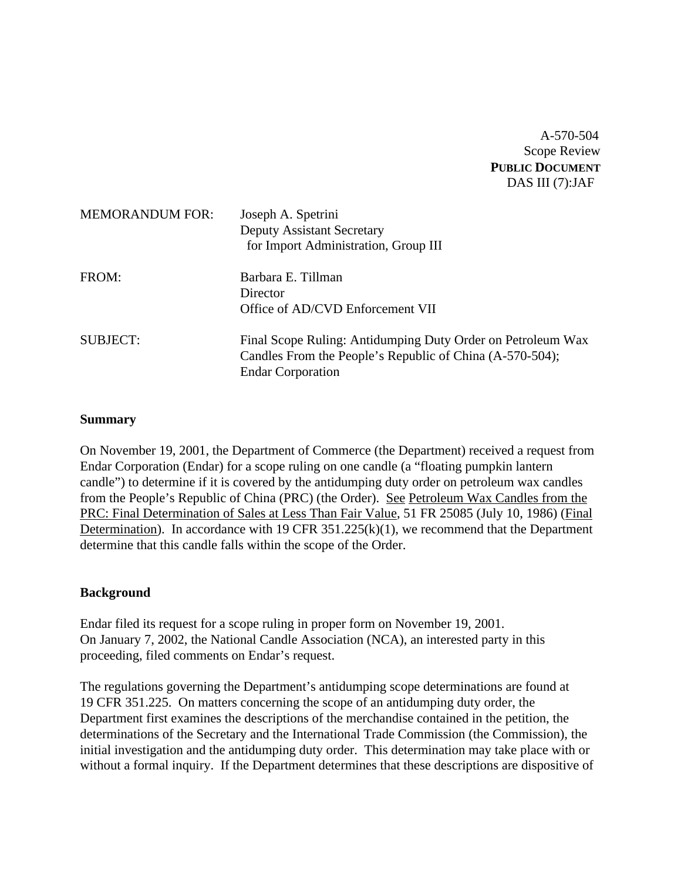A-570-504 Scope Review **PUBLIC DOCUMENT** DAS III (7):JAF

| <b>MEMORANDUM FOR:</b> | Joseph A. Spetrini<br><b>Deputy Assistant Secretary</b><br>for Import Administration, Group III                                                     |
|------------------------|-----------------------------------------------------------------------------------------------------------------------------------------------------|
| FROM:                  | Barbara E. Tillman<br>Director<br>Office of AD/CVD Enforcement VII                                                                                  |
| <b>SUBJECT:</b>        | Final Scope Ruling: Antidumping Duty Order on Petroleum Wax<br>Candles From the People's Republic of China (A-570-504);<br><b>Endar Corporation</b> |

#### **Summary**

On November 19, 2001, the Department of Commerce (the Department) received a request from Endar Corporation (Endar) for a scope ruling on one candle (a "floating pumpkin lantern candle") to determine if it is covered by the antidumping duty order on petroleum wax candles from the People's Republic of China (PRC) (the Order). See Petroleum Wax Candles from the PRC: Final Determination of Sales at Less Than Fair Value, 51 FR 25085 (July 10, 1986) (Final Determination). In accordance with 19 CFR  $351.225(k)(1)$ , we recommend that the Department determine that this candle falls within the scope of the Order.

### **Background**

Endar filed its request for a scope ruling in proper form on November 19, 2001. On January 7, 2002, the National Candle Association (NCA), an interested party in this proceeding, filed comments on Endar's request.

The regulations governing the Department's antidumping scope determinations are found at 19 CFR 351.225. On matters concerning the scope of an antidumping duty order, the Department first examines the descriptions of the merchandise contained in the petition, the determinations of the Secretary and the International Trade Commission (the Commission), the initial investigation and the antidumping duty order. This determination may take place with or without a formal inquiry. If the Department determines that these descriptions are dispositive of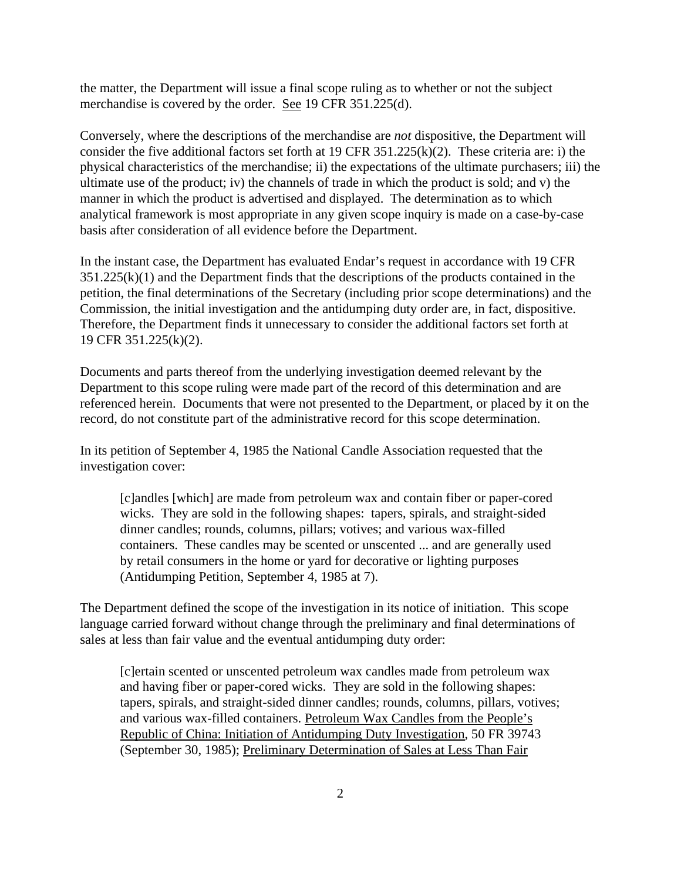the matter, the Department will issue a final scope ruling as to whether or not the subject merchandise is covered by the order. See 19 CFR 351.225(d).

Conversely, where the descriptions of the merchandise are *not* dispositive, the Department will consider the five additional factors set forth at 19 CFR 351.225(k)(2). These criteria are: i) the physical characteristics of the merchandise; ii) the expectations of the ultimate purchasers; iii) the ultimate use of the product; iv) the channels of trade in which the product is sold; and v) the manner in which the product is advertised and displayed. The determination as to which analytical framework is most appropriate in any given scope inquiry is made on a case-by-case basis after consideration of all evidence before the Department.

In the instant case, the Department has evaluated Endar's request in accordance with 19 CFR  $351.225(k)(1)$  and the Department finds that the descriptions of the products contained in the petition, the final determinations of the Secretary (including prior scope determinations) and the Commission, the initial investigation and the antidumping duty order are, in fact, dispositive. Therefore, the Department finds it unnecessary to consider the additional factors set forth at 19 CFR 351.225(k)(2).

Documents and parts thereof from the underlying investigation deemed relevant by the Department to this scope ruling were made part of the record of this determination and are referenced herein. Documents that were not presented to the Department, or placed by it on the record, do not constitute part of the administrative record for this scope determination.

In its petition of September 4, 1985 the National Candle Association requested that the investigation cover:

[c]andles [which] are made from petroleum wax and contain fiber or paper-cored wicks. They are sold in the following shapes: tapers, spirals, and straight-sided dinner candles; rounds, columns, pillars; votives; and various wax-filled containers. These candles may be scented or unscented ... and are generally used by retail consumers in the home or yard for decorative or lighting purposes (Antidumping Petition, September 4, 1985 at 7).

The Department defined the scope of the investigation in its notice of initiation. This scope language carried forward without change through the preliminary and final determinations of sales at less than fair value and the eventual antidumping duty order:

[c]ertain scented or unscented petroleum wax candles made from petroleum wax and having fiber or paper-cored wicks. They are sold in the following shapes: tapers, spirals, and straight-sided dinner candles; rounds, columns, pillars, votives; and various wax-filled containers. Petroleum Wax Candles from the People's Republic of China: Initiation of Antidumping Duty Investigation, 50 FR 39743 (September 30, 1985); Preliminary Determination of Sales at Less Than Fair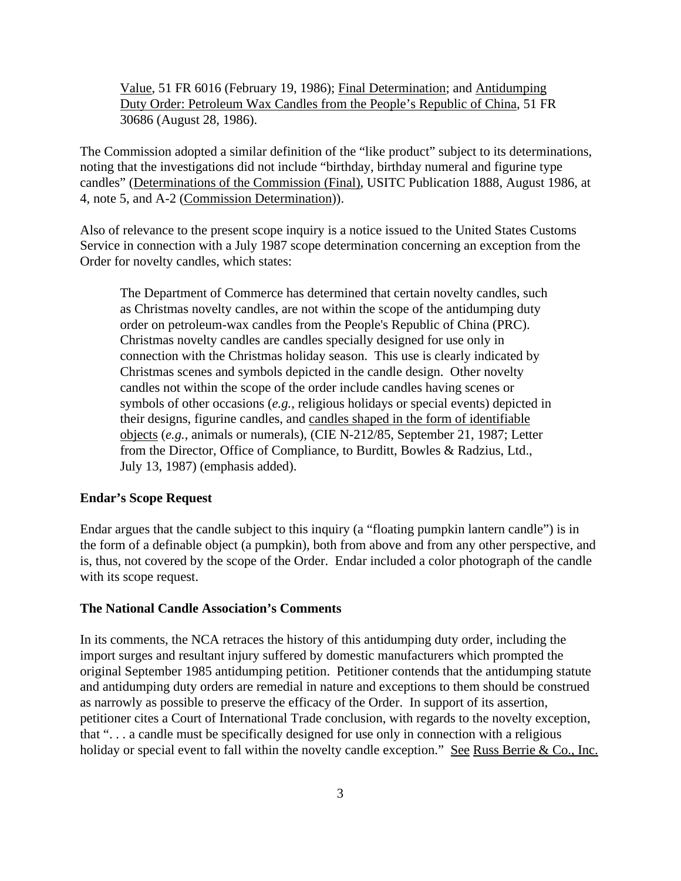Value, 51 FR 6016 (February 19, 1986); Final Determination; and Antidumping Duty Order: Petroleum Wax Candles from the People's Republic of China, 51 FR 30686 (August 28, 1986).

The Commission adopted a similar definition of the "like product" subject to its determinations, noting that the investigations did not include "birthday, birthday numeral and figurine type candles" (Determinations of the Commission (Final), USITC Publication 1888, August 1986, at 4, note 5, and A-2 (Commission Determination)).

Also of relevance to the present scope inquiry is a notice issued to the United States Customs Service in connection with a July 1987 scope determination concerning an exception from the Order for novelty candles, which states:

The Department of Commerce has determined that certain novelty candles, such as Christmas novelty candles, are not within the scope of the antidumping duty order on petroleum-wax candles from the People's Republic of China (PRC). Christmas novelty candles are candles specially designed for use only in connection with the Christmas holiday season. This use is clearly indicated by Christmas scenes and symbols depicted in the candle design. Other novelty candles not within the scope of the order include candles having scenes or symbols of other occasions (*e.g.*, religious holidays or special events) depicted in their designs, figurine candles, and candles shaped in the form of identifiable objects (*e.g.*, animals or numerals), (CIE N-212/85, September 21, 1987; Letter from the Director, Office of Compliance, to Burditt, Bowles & Radzius, Ltd., July 13, 1987) (emphasis added).

#### **Endar's Scope Request**

Endar argues that the candle subject to this inquiry (a "floating pumpkin lantern candle") is in the form of a definable object (a pumpkin), both from above and from any other perspective, and is, thus, not covered by the scope of the Order. Endar included a color photograph of the candle with its scope request.

### **The National Candle Association's Comments**

In its comments, the NCA retraces the history of this antidumping duty order, including the import surges and resultant injury suffered by domestic manufacturers which prompted the original September 1985 antidumping petition. Petitioner contends that the antidumping statute and antidumping duty orders are remedial in nature and exceptions to them should be construed as narrowly as possible to preserve the efficacy of the Order. In support of its assertion, petitioner cites a Court of International Trade conclusion, with regards to the novelty exception, that ". . . a candle must be specifically designed for use only in connection with a religious holiday or special event to fall within the novelty candle exception." See Russ Berrie & Co., Inc.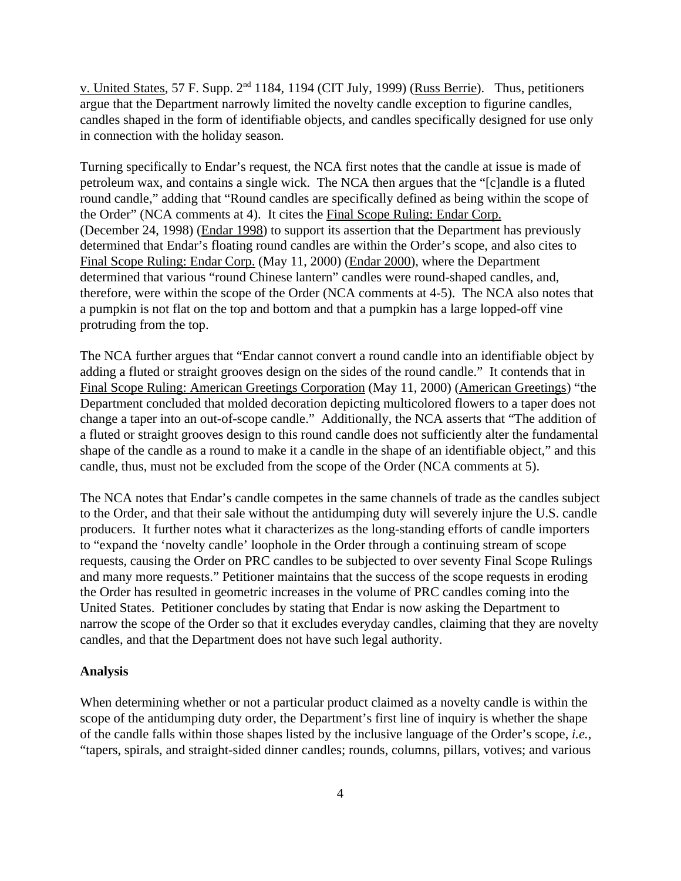v. United States, 57 F. Supp. 2<sup>nd</sup> 1184, 1194 (CIT July, 1999) (Russ Berrie). Thus, petitioners argue that the Department narrowly limited the novelty candle exception to figurine candles, candles shaped in the form of identifiable objects, and candles specifically designed for use only in connection with the holiday season.

Turning specifically to Endar's request, the NCA first notes that the candle at issue is made of petroleum wax, and contains a single wick. The NCA then argues that the "[c]andle is a fluted round candle," adding that "Round candles are specifically defined as being within the scope of the Order" (NCA comments at 4). It cites the Final Scope Ruling: Endar Corp. (December 24, 1998) (Endar 1998) to support its assertion that the Department has previously determined that Endar's floating round candles are within the Order's scope, and also cites to Final Scope Ruling: Endar Corp. (May 11, 2000) (Endar 2000), where the Department determined that various "round Chinese lantern" candles were round-shaped candles, and, therefore, were within the scope of the Order (NCA comments at 4-5). The NCA also notes that a pumpkin is not flat on the top and bottom and that a pumpkin has a large lopped-off vine protruding from the top.

The NCA further argues that "Endar cannot convert a round candle into an identifiable object by adding a fluted or straight grooves design on the sides of the round candle." It contends that in Final Scope Ruling: American Greetings Corporation (May 11, 2000) (American Greetings) "the Department concluded that molded decoration depicting multicolored flowers to a taper does not change a taper into an out-of-scope candle." Additionally, the NCA asserts that "The addition of a fluted or straight grooves design to this round candle does not sufficiently alter the fundamental shape of the candle as a round to make it a candle in the shape of an identifiable object," and this candle, thus, must not be excluded from the scope of the Order (NCA comments at 5).

The NCA notes that Endar's candle competes in the same channels of trade as the candles subject to the Order, and that their sale without the antidumping duty will severely injure the U.S. candle producers. It further notes what it characterizes as the long-standing efforts of candle importers to "expand the 'novelty candle' loophole in the Order through a continuing stream of scope requests, causing the Order on PRC candles to be subjected to over seventy Final Scope Rulings and many more requests." Petitioner maintains that the success of the scope requests in eroding the Order has resulted in geometric increases in the volume of PRC candles coming into the United States. Petitioner concludes by stating that Endar is now asking the Department to narrow the scope of the Order so that it excludes everyday candles, claiming that they are novelty candles, and that the Department does not have such legal authority.

#### **Analysis**

When determining whether or not a particular product claimed as a novelty candle is within the scope of the antidumping duty order, the Department's first line of inquiry is whether the shape of the candle falls within those shapes listed by the inclusive language of the Order's scope, *i.e.*, "tapers, spirals, and straight-sided dinner candles; rounds, columns, pillars, votives; and various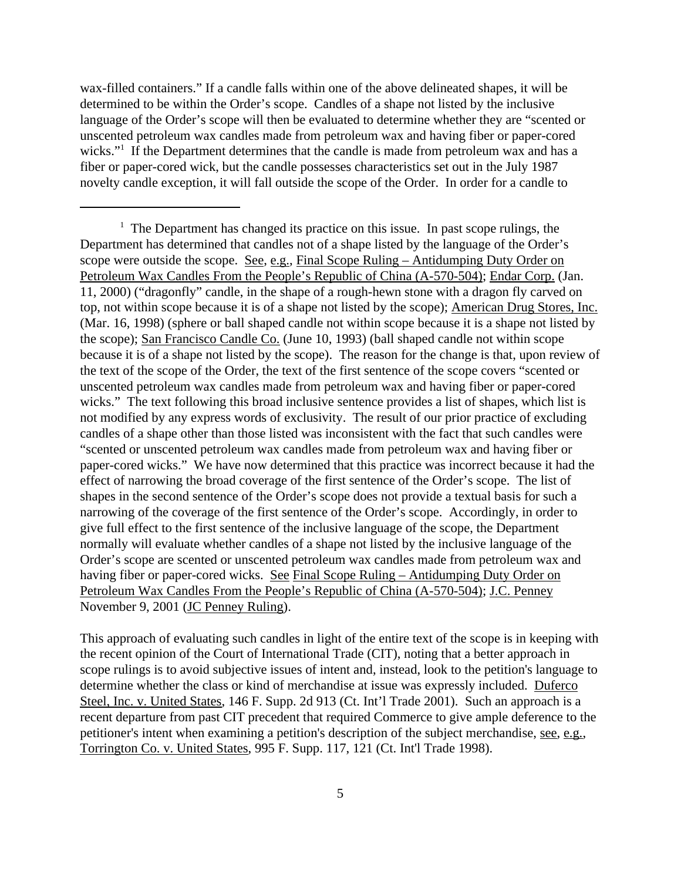wax-filled containers." If a candle falls within one of the above delineated shapes, it will be determined to be within the Order's scope. Candles of a shape not listed by the inclusive language of the Order's scope will then be evaluated to determine whether they are "scented or unscented petroleum wax candles made from petroleum wax and having fiber or paper-cored wicks."<sup>1</sup> If the Department determines that the candle is made from petroleum wax and has a fiber or paper-cored wick, but the candle possesses characteristics set out in the July 1987 novelty candle exception, it will fall outside the scope of the Order. In order for a candle to

This approach of evaluating such candles in light of the entire text of the scope is in keeping with the recent opinion of the Court of International Trade (CIT), noting that a better approach in scope rulings is to avoid subjective issues of intent and, instead, look to the petition's language to determine whether the class or kind of merchandise at issue was expressly included. Duferco Steel, Inc. v. United States, 146 F. Supp. 2d 913 (Ct. Int'l Trade 2001). Such an approach is a recent departure from past CIT precedent that required Commerce to give ample deference to the petitioner's intent when examining a petition's description of the subject merchandise, see, e.g., Torrington Co. v. United States, 995 F. Supp. 117, 121 (Ct. Int'l Trade 1998).

 $<sup>1</sup>$  The Department has changed its practice on this issue. In past scope rulings, the</sup> Department has determined that candles not of a shape listed by the language of the Order's scope were outside the scope. See, e.g., Final Scope Ruling – Antidumping Duty Order on Petroleum Wax Candles From the People's Republic of China (A-570-504); Endar Corp. (Jan. 11, 2000) ("dragonfly" candle, in the shape of a rough-hewn stone with a dragon fly carved on top, not within scope because it is of a shape not listed by the scope); American Drug Stores, Inc. (Mar. 16, 1998) (sphere or ball shaped candle not within scope because it is a shape not listed by the scope); San Francisco Candle Co. (June 10, 1993) (ball shaped candle not within scope because it is of a shape not listed by the scope). The reason for the change is that, upon review of the text of the scope of the Order, the text of the first sentence of the scope covers "scented or unscented petroleum wax candles made from petroleum wax and having fiber or paper-cored wicks." The text following this broad inclusive sentence provides a list of shapes, which list is not modified by any express words of exclusivity. The result of our prior practice of excluding candles of a shape other than those listed was inconsistent with the fact that such candles were "scented or unscented petroleum wax candles made from petroleum wax and having fiber or paper-cored wicks." We have now determined that this practice was incorrect because it had the effect of narrowing the broad coverage of the first sentence of the Order's scope. The list of shapes in the second sentence of the Order's scope does not provide a textual basis for such a narrowing of the coverage of the first sentence of the Order's scope. Accordingly, in order to give full effect to the first sentence of the inclusive language of the scope, the Department normally will evaluate whether candles of a shape not listed by the inclusive language of the Order's scope are scented or unscented petroleum wax candles made from petroleum wax and having fiber or paper-cored wicks. See Final Scope Ruling – Antidumping Duty Order on Petroleum Wax Candles From the People's Republic of China (A-570-504); J.C. Penney November 9, 2001 (JC Penney Ruling).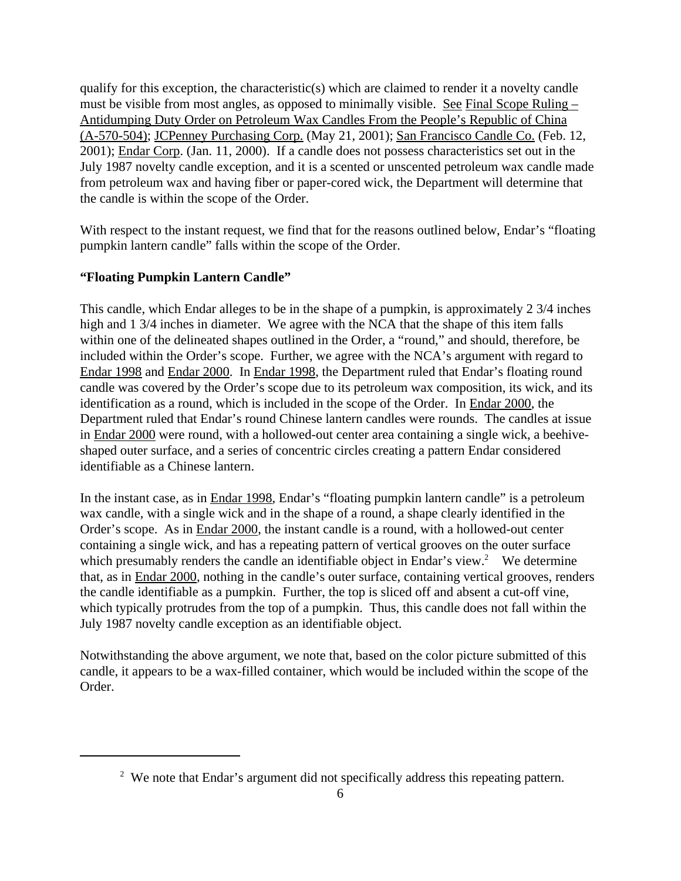qualify for this exception, the characteristic(s) which are claimed to render it a novelty candle must be visible from most angles, as opposed to minimally visible. See Final Scope Ruling  $-$ Antidumping Duty Order on Petroleum Wax Candles From the People's Republic of China (A-570-504); JCPenney Purchasing Corp. (May 21, 2001); San Francisco Candle Co. (Feb. 12, 2001); Endar Corp. (Jan. 11, 2000). If a candle does not possess characteristics set out in the July 1987 novelty candle exception, and it is a scented or unscented petroleum wax candle made from petroleum wax and having fiber or paper-cored wick, the Department will determine that the candle is within the scope of the Order.

With respect to the instant request, we find that for the reasons outlined below, Endar's "floating pumpkin lantern candle" falls within the scope of the Order.

# **"Floating Pumpkin Lantern Candle"**

This candle, which Endar alleges to be in the shape of a pumpkin, is approximately 2 3/4 inches high and 1 3/4 inches in diameter. We agree with the NCA that the shape of this item falls within one of the delineated shapes outlined in the Order, a "round," and should, therefore, be included within the Order's scope. Further, we agree with the NCA's argument with regard to Endar 1998 and Endar 2000. In Endar 1998, the Department ruled that Endar's floating round candle was covered by the Order's scope due to its petroleum wax composition, its wick, and its identification as a round, which is included in the scope of the Order. In Endar 2000, the Department ruled that Endar's round Chinese lantern candles were rounds. The candles at issue in Endar 2000 were round, with a hollowed-out center area containing a single wick, a beehiveshaped outer surface, and a series of concentric circles creating a pattern Endar considered identifiable as a Chinese lantern.

In the instant case, as in Endar 1998, Endar's "floating pumpkin lantern candle" is a petroleum wax candle, with a single wick and in the shape of a round, a shape clearly identified in the Order's scope. As in Endar 2000, the instant candle is a round, with a hollowed-out center containing a single wick, and has a repeating pattern of vertical grooves on the outer surface which presumably renders the candle an identifiable object in Endar's view.<sup>2</sup> We determine that, as in Endar 2000, nothing in the candle's outer surface, containing vertical grooves, renders the candle identifiable as a pumpkin. Further, the top is sliced off and absent a cut-off vine, which typically protrudes from the top of a pumpkin. Thus, this candle does not fall within the July 1987 novelty candle exception as an identifiable object.

Notwithstanding the above argument, we note that, based on the color picture submitted of this candle, it appears to be a wax-filled container, which would be included within the scope of the Order.

 $2$  We note that Endar's argument did not specifically address this repeating pattern.